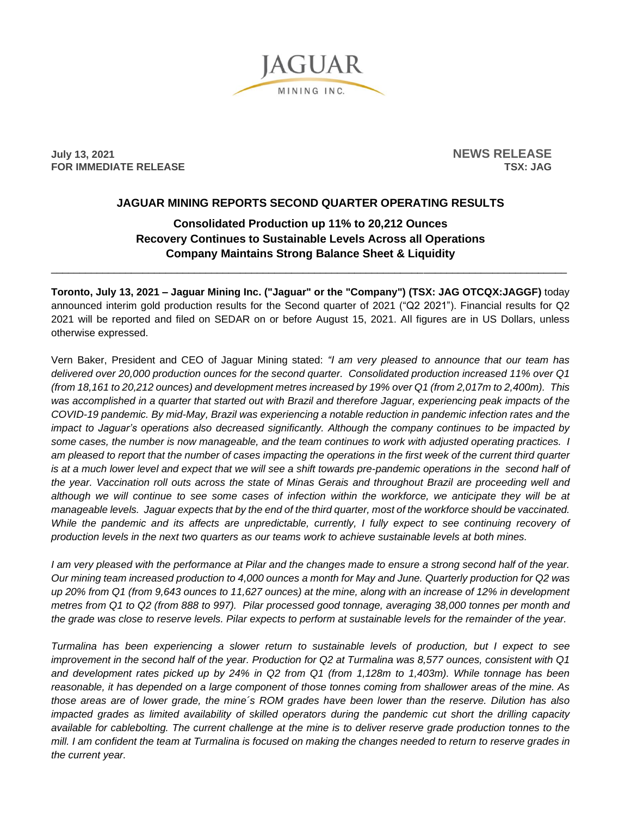

**July 13, 2021 NEWS RELEASE FOR IMMEDIATE RELEASE TSX: JAG**

# **JAGUAR MINING REPORTS SECOND QUARTER OPERATING RESULTS**

# **Consolidated Production up 11% to 20,212 Ounces Recovery Continues to Sustainable Levels Across all Operations Company Maintains Strong Balance Sheet & Liquidity**

\_\_\_\_\_\_\_\_\_\_\_\_\_\_\_\_\_\_\_\_\_\_\_\_\_\_\_\_\_\_\_\_\_\_\_\_\_\_\_\_\_\_\_\_\_\_\_\_\_\_\_\_\_\_\_\_\_\_\_\_\_\_\_\_\_\_\_\_\_\_\_\_\_\_\_\_\_\_\_\_\_\_\_\_\_\_\_\_\_\_

**Toronto, July 13, 2021 – Jaguar Mining Inc. ("Jaguar" or the "Company") (TSX: JAG OTCQX:JAGGF)** today announced interim gold production results for the Second quarter of 2021 ("Q2 2021"). Financial results for Q2 2021 will be reported and filed on SEDAR on or before August 15, 2021. All figures are in US Dollars, unless otherwise expressed.

Vern Baker, President and CEO of Jaguar Mining stated: *"I am very pleased to announce that our team has delivered over 20,000 production ounces for the second quarter. Consolidated production increased 11% over Q1* (from 18,161 to 20,212 ounces) and development metres increased by 19% over Q1 (from 2,017m to 2,400m). This was accomplished in a quarter that started out with Brazil and therefore Jaguar, experiencing peak impacts of the *COVID-19 pandemic. By mid-May, Brazil was experiencing a notable reduction in pandemic infection rates and the impact to Jaguar's operations also decreased significantly. Although the company continues to be impacted by* some cases, the number is now manageable, and the team continues to work with adjusted operating practices. I am pleased to report that the number of cases impacting the operations in the first week of the current third quarter is at a much lower level and expect that we will see a shift towards pre-pandemic operations in the second half of the year. Vaccination roll outs across the state of Minas Gerais and throughout Brazil are proceeding well and although we will continue to see some cases of infection within the workforce, we anticipate they will be at manageable levels. Jaguar expects that by the end of the third quarter, most of the workforce should be vaccinated. While the pandemic and its affects are unpredictable, currently, I fully expect to see continuing recovery of production levels in the next two quarters as our teams work to achieve sustainable levels at both mines.

I am very pleased with the performance at Pilar and the changes made to ensure a strong second half of the year. Our mining team increased production to 4,000 ounces a month for May and June. Quarterly production for Q2 was up 20% from Q1 (from 9,643 ounces to 11,627 ounces) at the mine, along with an increase of 12% in development metres from Q1 to Q2 (from 888 to 997). Pilar processed good tonnage, averaging 38,000 tonnes per month and the grade was close to reserve levels. Pilar expects to perform at sustainable levels for the remainder of the year.

*Turmalina has been experiencing a slower return to sustainable levels of production, but I expect to see* improvement in the second half of the year. Production for Q2 at Turmalina was 8,577 ounces, consistent with Q1 and development rates picked up by 24% in Q2 from Q1 (from 1,128m to 1,403m). While tonnage has been reasonable, it has depended on a large component of those tonnes coming from shallower areas of the mine. As those areas are of lower grade, the mine's ROM grades have been lower than the reserve. Dilution has also *impacted grades as limited availability of skilled operators during the pandemic cut short the drilling capacity* available for cablebolting. The current challenge at the mine is to deliver reserve grade production tonnes to the mill. I am confident the team at Turmalina is focused on making the changes needed to return to reserve grades in *the current year.*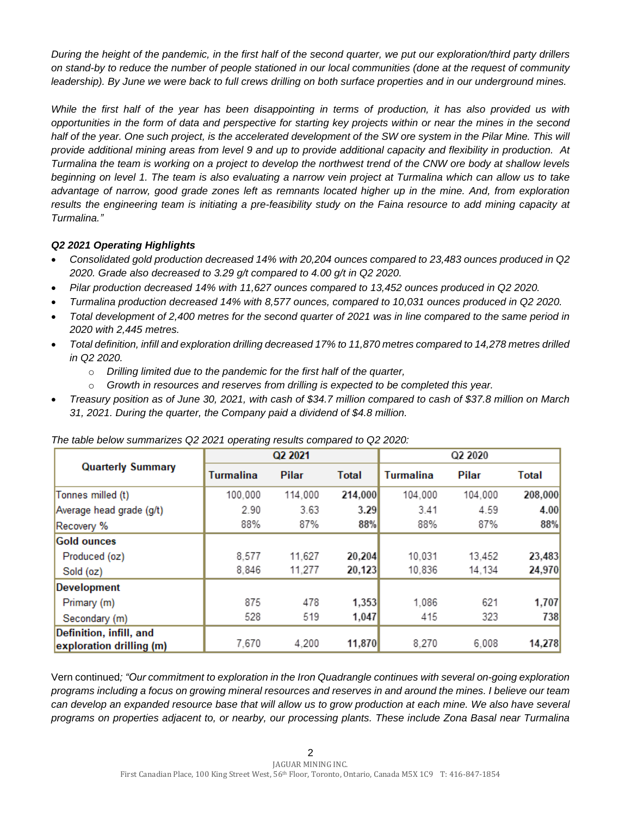During the height of the pandemic, in the first half of the second quarter, we put our exploration/third party drillers on stand-by to reduce the number of people stationed in our local communities (done at the request of community leadership). By June we were back to full crews drilling on both surface properties and in our underground mines.

While the first half of the year has been disappointing in terms of production, it has also provided us with opportunities in the form of data and perspective for starting key projects within or near the mines in the second half of the year. One such project, is the accelerated development of the SW ore system in the Pilar Mine. This will provide additional mining areas from level 9 and up to provide additional capacity and flexibility in production. At Turmalina the team is working on a project to develop the northwest trend of the CNW ore body at shallow levels beginning on level 1. The team is also evaluating a narrow vein project at Turmalina which can allow us to take advantage of narrow, good grade zones left as remnants located higher up in the mine. And, from exploration results the engineering team is initiating a pre-feasibility study on the Faina resource to add mining capacity at *Turmalina."*

## *Q2 2021 Operating Highlights*

- *Consolidated gold production decreased 14% with 20,204 ounces compared to 23,483 ounces produced in Q2 2020. Grade also decreased to 3.29 g/t compared to 4.00 g/t in Q2 2020.*
- *Pilar production decreased 14% with 11,627 ounces compared to 13,452 ounces produced in Q2 2020.*
- *Turmalina production decreased 14% with 8,577 ounces, compared to 10,031 ounces produced in Q2 2020.*
- Total development of 2,400 metres for the second quarter of 2021 was in line compared to the same period in *2020 with 2,445 metres.*
- Total definition, infill and exploration drilling decreased 17% to 11,870 metres compared to 14,278 metres drilled *in Q2 2020.*
	- o *Drilling limited due to the pandemic for the first half of the quarter,*
	- o *Growth in resources and reserves from drilling is expected to be completed this year.*
- Treasury position as of June 30, 2021, with cash of \$34.7 million compared to cash of \$37.8 million on March *31, 2021. During the quarter, the Company paid a dividend of \$4.8 million.*

| <b>Quarterly Summary</b>                            | Q <sub>2</sub> 2021 |              |              | Q <sub>2</sub> 2020 |         |         |
|-----------------------------------------------------|---------------------|--------------|--------------|---------------------|---------|---------|
|                                                     | Turmalina           | <b>Pilar</b> | <b>Total</b> | <b>Turmalina</b>    | Pilar   | Total   |
| Tonnes milled (t)                                   | 100,000             | 114,000      | 214,000      | 104.000             | 104.000 | 208,000 |
| Average head grade (g/t)                            | 2.90                | 3.63         | 3.29         | 3.41                | 4.59    | 4.00    |
| Recovery %                                          | 88%                 | 87%          | 88%          | 88%                 | 87%     | 88%     |
| <b>Gold ounces</b>                                  |                     |              |              |                     |         |         |
| Produced (oz)                                       | 8,577               | 11,627       | 20,204       | 10,031              | 13,452  | 23,483  |
| Sold (oz)                                           | 8,846               | 11,277       | 20,123       | 10,836              | 14,134  | 24,970  |
| <b>Development</b>                                  |                     |              |              |                     |         |         |
| Primary (m)                                         | 875                 | 478          | 1,353        | 1,086               | 621     | 1,707   |
| Secondary (m)                                       | 528                 | 519          | 1,047        | 415                 | 323     | 738     |
| Definition, infill, and<br>exploration drilling (m) | 7,670               | 4,200        | 11,870       | 8,270               | 6,008   | 14,278  |

*The table below summarizes Q2 2021 operating results compared to Q2 2020:*

Vern continued*; "Our commitment to exploration in the Iron Quadrangle continues with several on-going exploration* programs including a focus on growing mineral resources and reserves in and around the mines. I believe our team can develop an expanded resource base that will allow us to grow production at each mine. We also have several *programs on properties adjacent to, or nearby, our processing plants. These include Zona Basal near Turmalina*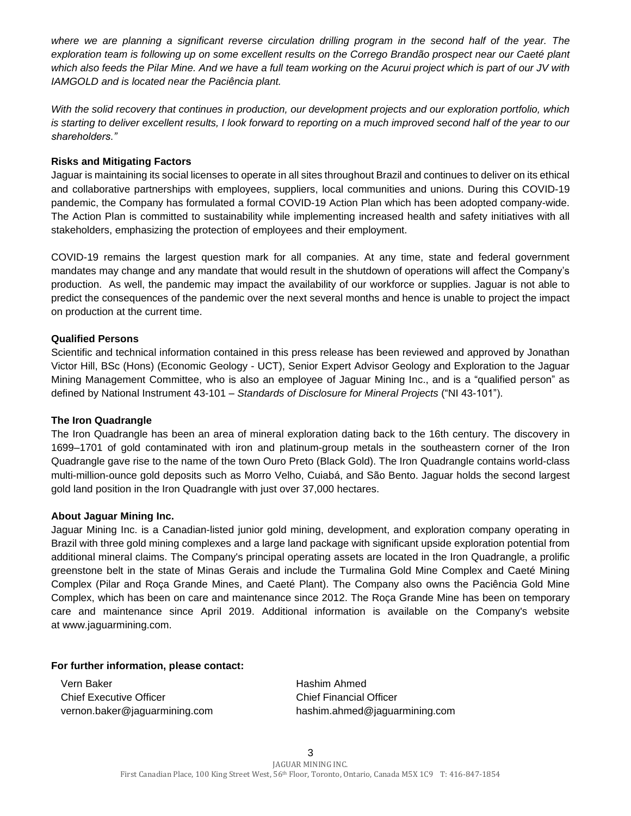where we are planning a significant reverse circulation drilling program in the second half of the year. The exploration team is following up on some excellent results on the Corrego Brandão prospect near our Caeté plant which also feeds the Pilar Mine. And we have a full team working on the Acurui project which is part of our JV with *IAMGOLD and is located near the Paciência plant.*

With the solid recovery that continues in production, our development projects and our exploration portfolio, which is starting to deliver excellent results. I look forward to reporting on a much improved second half of the year to our *shareholders."*

### **Risks and Mitigating Factors**

Jaguar is maintaining its social licenses to operate in all sites throughout Brazil and continues to deliver on its ethical and collaborative partnerships with employees, suppliers, local communities and unions. During this COVID-19 pandemic, the Company has formulated a formal COVID-19 Action Plan which has been adopted company-wide. The Action Plan is committed to sustainability while implementing increased health and safety initiatives with all stakeholders, emphasizing the protection of employees and their employment.

COVID-19 remains the largest question mark for all companies. At any time, state and federal government mandates may change and any mandate that would result in the shutdown of operations will affect the Company's production. As well, the pandemic may impact the availability of our workforce or supplies. Jaguar is not able to predict the consequences of the pandemic over the next several months and hence is unable to project the impact on production at the current time.

#### **Qualified Persons**

Scientific and technical information contained in this press release has been reviewed and approved by Jonathan Victor Hill, BSc (Hons) (Economic Geology - UCT), Senior Expert Advisor Geology and Exploration to the Jaguar Mining Management Committee, who is also an employee of Jaguar Mining Inc., and is a "qualified person" as defined by National Instrument 43-101 – *Standards of Disclosure for Mineral Projects* ("NI 43-101").

#### **The Iron Quadrangle**

The Iron Quadrangle has been an area of mineral exploration dating back to the 16th century. The discovery in 1699–1701 of gold contaminated with iron and platinum-group metals in the southeastern corner of the Iron Quadrangle gave rise to the name of the town Ouro Preto (Black Gold). The Iron Quadrangle contains world-class multi-million-ounce gold deposits such as Morro Velho, Cuiabá, and São Bento. Jaguar holds the second largest gold land position in the Iron Quadrangle with just over 37,000 hectares.

#### **About Jaguar Mining Inc.**

Jaguar Mining Inc. is a Canadian-listed junior gold mining, development, and exploration company operating in Brazil with three gold mining complexes and a large land package with significant upside exploration potential from additional mineral claims. The Company's principal operating assets are located in the Iron Quadrangle, a prolific greenstone belt in the state of Minas Gerais and include the Turmalina Gold Mine Complex and Caeté Mining Complex (Pilar and Roça Grande Mines, and Caeté Plant). The Company also owns the Paciência Gold Mine Complex, which has been on care and maintenance since 2012. The Roça Grande Mine has been on temporary care and maintenance since April 2019. Additional information is available on the Company's website at www.jaguarmining.com.

#### **For further information, please contact:**

Vern Baker Chief Executive Officer vernon.baker@jaguarmining.com

Hashim Ahmed Chief Financial Officer hashim.ahmed@jaguarmining.com